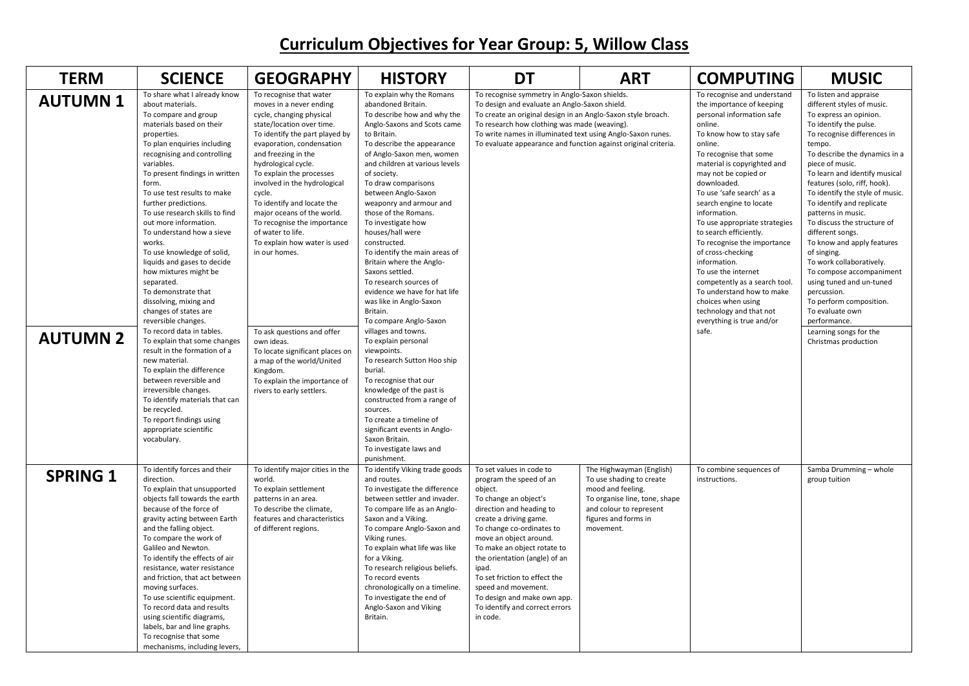## **Curriculum Objectives for Year Group: 5, Willow Class**

| <b>TERM</b>                       | <b>SCIENCE</b>                                                                                                                                                                                                                                                                                                                                                                                                                                                                                                                                                                                                                                                                                                                                                                                                                                                                                                                | <b>GEOGRAPHY</b>                                                                                                                                                                                                                                                                                                                                                                                                                                                                                                                                                                                                                                     | <b>HISTORY</b>                                                                                                                                                                                                                                                                                                                                                                                                                                                                                                                                                                                                                                                                                                                                                                                                                                                                                                                                | <b>DT</b>                                                                                                                                                                                                                                                                                                                                                                                                          | <b>ART</b>                                                                                                                                                                 | <b>COMPUTING</b>                                                                                                                                                                                                                                                                                                                                                                                                                                                                                                                                                                                                           | <b>MUSIC</b>                                                                                                                                                                                                                                                                                                                                                                                                                                                                                                                                                                                                                                                                    |
|-----------------------------------|-------------------------------------------------------------------------------------------------------------------------------------------------------------------------------------------------------------------------------------------------------------------------------------------------------------------------------------------------------------------------------------------------------------------------------------------------------------------------------------------------------------------------------------------------------------------------------------------------------------------------------------------------------------------------------------------------------------------------------------------------------------------------------------------------------------------------------------------------------------------------------------------------------------------------------|------------------------------------------------------------------------------------------------------------------------------------------------------------------------------------------------------------------------------------------------------------------------------------------------------------------------------------------------------------------------------------------------------------------------------------------------------------------------------------------------------------------------------------------------------------------------------------------------------------------------------------------------------|-----------------------------------------------------------------------------------------------------------------------------------------------------------------------------------------------------------------------------------------------------------------------------------------------------------------------------------------------------------------------------------------------------------------------------------------------------------------------------------------------------------------------------------------------------------------------------------------------------------------------------------------------------------------------------------------------------------------------------------------------------------------------------------------------------------------------------------------------------------------------------------------------------------------------------------------------|--------------------------------------------------------------------------------------------------------------------------------------------------------------------------------------------------------------------------------------------------------------------------------------------------------------------------------------------------------------------------------------------------------------------|----------------------------------------------------------------------------------------------------------------------------------------------------------------------------|----------------------------------------------------------------------------------------------------------------------------------------------------------------------------------------------------------------------------------------------------------------------------------------------------------------------------------------------------------------------------------------------------------------------------------------------------------------------------------------------------------------------------------------------------------------------------------------------------------------------------|---------------------------------------------------------------------------------------------------------------------------------------------------------------------------------------------------------------------------------------------------------------------------------------------------------------------------------------------------------------------------------------------------------------------------------------------------------------------------------------------------------------------------------------------------------------------------------------------------------------------------------------------------------------------------------|
| <b>AUTUMN1</b><br><b>AUTUMN 2</b> | To share what I already know<br>about materials.<br>To compare and group<br>materials based on their<br>properties.<br>To plan enquiries including<br>recognising and controlling<br>variables.<br>To present findings in written<br>form.<br>To use test results to make<br>further predictions.<br>To use research skills to find<br>out more information.<br>To understand how a sieve<br>works.<br>To use knowledge of solid,<br>liquids and gases to decide<br>how mixtures might be<br>separated.<br>To demonstrate that<br>dissolving, mixing and<br>changes of states are<br>reversible changes.<br>To record data in tables.<br>To explain that some changes<br>result in the formation of a<br>new material.<br>To explain the difference<br>between reversible and<br>irreversible changes.<br>To identify materials that can<br>be recycled.<br>To report findings using<br>appropriate scientific<br>vocabulary. | To recognise that water<br>moves in a never ending<br>cycle, changing physical<br>state/location over time.<br>To identify the part played by<br>evaporation, condensation<br>and freezing in the<br>hydrological cycle.<br>To explain the processes<br>involved in the hydrological<br>cycle.<br>To identify and locate the<br>major oceans of the world.<br>To recognise the importance<br>of water to life.<br>To explain how water is used<br>in our homes.<br>To ask questions and offer<br>own ideas.<br>To locate significant places on<br>a map of the world/United<br>Kingdom.<br>To explain the importance of<br>rivers to early settlers. | To explain why the Romans<br>abandoned Britain.<br>To describe how and why the<br>Anglo-Saxons and Scots came<br>to Britain.<br>To describe the appearance<br>of Anglo-Saxon men, women<br>and children at various levels<br>of society.<br>To draw comparisons<br>between Anglo-Saxon<br>weaponry and armour and<br>those of the Romans.<br>To investigate how<br>houses/hall were<br>constructed.<br>To identify the main areas of<br>Britain where the Anglo-<br>Saxons settled.<br>To research sources of<br>evidence we have for hat life<br>was like in Anglo-Saxon<br>Britain.<br>To compare Anglo-Saxon<br>villages and towns.<br>To explain personal<br>viewpoints.<br>To research Sutton Hoo ship<br>burial.<br>To recognise that our<br>knowledge of the past is<br>constructed from a range of<br>sources.<br>To create a timeline of<br>significant events in Anglo-<br>Saxon Britain.<br>To investigate laws and<br>punishment. | To recognise symmetry in Anglo-Saxon shields.<br>To design and evaluate an Anglo-Saxon shield.<br>To create an original design in an Anglo-Saxon style broach.<br>To research how clothing was made (weaving).<br>To write names in illuminated text using Anglo-Saxon runes.<br>To evaluate appearance and function against original criteria.                                                                    |                                                                                                                                                                            | To recognise and understand<br>the importance of keeping<br>personal information safe<br>online.<br>To know how to stay safe<br>online.<br>To recognise that some<br>material is copyrighted and<br>may not be copied or<br>downloaded.<br>To use 'safe search' as a<br>search engine to locate<br>information.<br>To use appropriate strategies<br>to search efficiently.<br>To recognise the importance<br>of cross-checking<br>information.<br>To use the internet<br>competently as a search tool.<br>To understand how to make<br>choices when using<br>technology and that not<br>everything is true and/or<br>safe. | To listen and appraise<br>different styles of music.<br>To express an opinion.<br>To identify the pulse.<br>To recognise differences in<br>tempo.<br>To describe the dynamics in a<br>piece of music.<br>To learn and identify musical<br>features (solo, riff, hook).<br>To identify the style of music.<br>To identify and replicate<br>patterns in music.<br>To discuss the structure of<br>different songs.<br>To know and apply features<br>of singing.<br>To work collaboratively.<br>To compose accompaniment<br>using tuned and un-tuned<br>percussion.<br>To perform composition.<br>To evaluate own<br>performance.<br>Learning songs for the<br>Christmas production |
| <b>SPRING 1</b>                   | To identify forces and their<br>direction.<br>To explain that unsupported<br>objects fall towards the earth<br>because of the force of<br>gravity acting between Earth<br>and the falling object.<br>To compare the work of<br>Galileo and Newton.<br>To identify the effects of air<br>resistance, water resistance<br>and friction, that act between<br>moving surfaces.<br>To use scientific equipment.<br>To record data and results<br>using scientific diagrams,<br>labels, bar and line graphs.<br>To recognise that some<br>mechanisms, including levers,                                                                                                                                                                                                                                                                                                                                                             | To identify major cities in the<br>world.<br>To explain settlement<br>patterns in an area.<br>To describe the climate,<br>features and characteristics<br>of different regions.                                                                                                                                                                                                                                                                                                                                                                                                                                                                      | To identify Viking trade goods<br>and routes.<br>To investigate the difference<br>between settler and invader.<br>To compare life as an Anglo-<br>Saxon and a Viking.<br>To compare Anglo-Saxon and<br>Viking runes.<br>To explain what life was like<br>for a Viking.<br>To research religious beliefs.<br>To record events<br>chronologically on a timeline.<br>To investigate the end of<br>Anglo-Saxon and Viking<br>Britain.                                                                                                                                                                                                                                                                                                                                                                                                                                                                                                             | To set values in code to<br>program the speed of an<br>object.<br>To change an object's<br>direction and heading to<br>create a driving game.<br>To change co-ordinates to<br>move an object around.<br>To make an object rotate to<br>the orientation (angle) of an<br>ipad.<br>To set friction to effect the<br>speed and movement.<br>To design and make own app.<br>To identify and correct errors<br>in code. | The Highwayman (English)<br>To use shading to create<br>mood and feeling.<br>To organise line, tone, shape<br>and colour to represent<br>figures and forms in<br>movement. | To combine sequences of<br>instructions.                                                                                                                                                                                                                                                                                                                                                                                                                                                                                                                                                                                   | Samba Drumming - whole<br>group tuition                                                                                                                                                                                                                                                                                                                                                                                                                                                                                                                                                                                                                                         |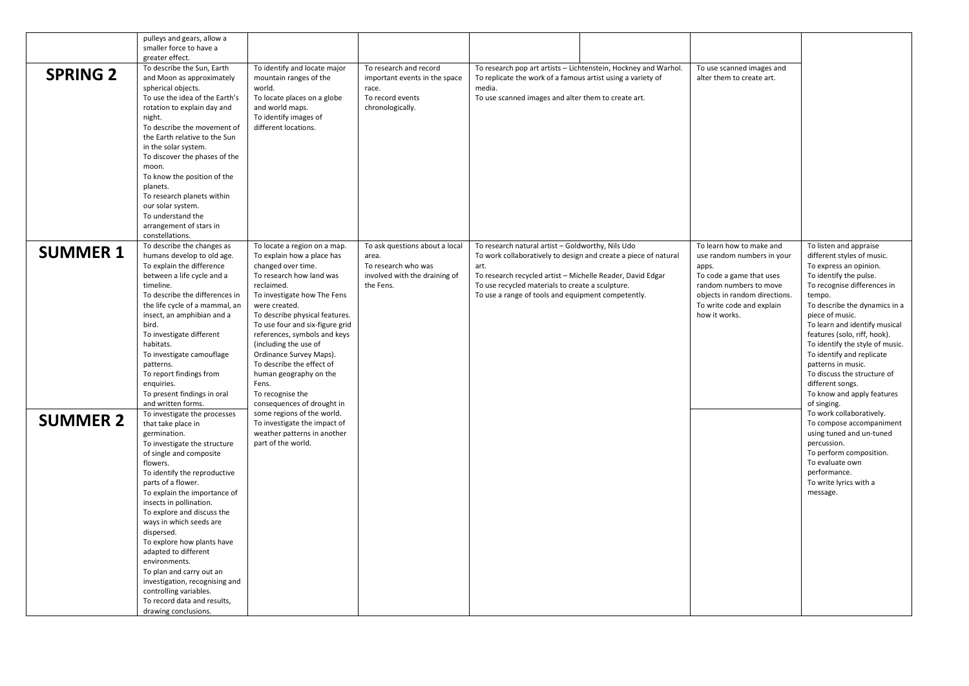|                 | pulleys and gears, allow a<br>smaller force to have a                                                                                                                                                                                                                                                                                                                                                                                                                                                                                                   |                                                                                                                                                                                                                                                                                                                                                                                                                                                       |                                                                                                              |                                                                                                                                                                                                                                                                                                      |                                                                 |                                                                                                                                                                                                      |                                                                                                                                                                                                                                                                                                                                                                                                                                                              |
|-----------------|---------------------------------------------------------------------------------------------------------------------------------------------------------------------------------------------------------------------------------------------------------------------------------------------------------------------------------------------------------------------------------------------------------------------------------------------------------------------------------------------------------------------------------------------------------|-------------------------------------------------------------------------------------------------------------------------------------------------------------------------------------------------------------------------------------------------------------------------------------------------------------------------------------------------------------------------------------------------------------------------------------------------------|--------------------------------------------------------------------------------------------------------------|------------------------------------------------------------------------------------------------------------------------------------------------------------------------------------------------------------------------------------------------------------------------------------------------------|-----------------------------------------------------------------|------------------------------------------------------------------------------------------------------------------------------------------------------------------------------------------------------|--------------------------------------------------------------------------------------------------------------------------------------------------------------------------------------------------------------------------------------------------------------------------------------------------------------------------------------------------------------------------------------------------------------------------------------------------------------|
| <b>SPRING 2</b> | greater effect.<br>To describe the Sun, Earth<br>and Moon as approximately<br>spherical objects.<br>To use the idea of the Earth's<br>rotation to explain day and<br>night.<br>To describe the movement of<br>the Earth relative to the Sun<br>in the solar system.<br>To discover the phases of the<br>moon.<br>To know the position of the<br>planets.                                                                                                                                                                                                | To identify and locate major<br>mountain ranges of the<br>world.<br>To locate places on a globe<br>and world maps.<br>To identify images of<br>different locations.                                                                                                                                                                                                                                                                                   | To research and record<br>important events in the space<br>race.<br>To record events<br>chronologically.     | To replicate the work of a famous artist using a variety of<br>media.<br>To use scanned images and alter them to create art.                                                                                                                                                                         | To research pop art artists - Lichtenstein, Hockney and Warhol. | To use scanned images and<br>alter them to create art.                                                                                                                                               |                                                                                                                                                                                                                                                                                                                                                                                                                                                              |
|                 | To research planets within<br>our solar system.<br>To understand the<br>arrangement of stars in<br>constellations.                                                                                                                                                                                                                                                                                                                                                                                                                                      |                                                                                                                                                                                                                                                                                                                                                                                                                                                       |                                                                                                              |                                                                                                                                                                                                                                                                                                      |                                                                 |                                                                                                                                                                                                      |                                                                                                                                                                                                                                                                                                                                                                                                                                                              |
| <b>SUMMER 1</b> | To describe the changes as<br>humans develop to old age.<br>To explain the difference<br>between a life cycle and a<br>timeline.<br>To describe the differences in<br>the life cycle of a mammal, an<br>insect, an amphibian and a<br>bird.<br>To investigate different<br>habitats.<br>To investigate camouflage<br>patterns.<br>To report findings from<br>enquiries.<br>To present findings in oral<br>and written forms.                                                                                                                            | To locate a region on a map.<br>To explain how a place has<br>changed over time.<br>To research how land was<br>reclaimed.<br>To investigate how The Fens<br>were created.<br>To describe physical features.<br>To use four and six-figure grid<br>references, symbols and keys<br>(including the use of<br>Ordinance Survey Maps).<br>To describe the effect of<br>human geography on the<br>Fens.<br>To recognise the<br>consequences of drought in | To ask questions about a local<br>area.<br>To research who was<br>involved with the draining of<br>the Fens. | To research natural artist - Goldworthy, Nils Udo<br>To work collaboratively to design and create a piece of natural<br>art.<br>To research recycled artist - Michelle Reader, David Edgar<br>To use recycled materials to create a sculpture.<br>To use a range of tools and equipment competently. |                                                                 | To learn how to make and<br>use random numbers in your<br>apps.<br>To code a game that uses<br>random numbers to move<br>objects in random directions.<br>To write code and explain<br>how it works. | To listen and appraise<br>different styles of music.<br>To express an opinion.<br>To identify the pulse.<br>To recognise differences in<br>tempo.<br>To describe the dynamics in a<br>piece of music.<br>To learn and identify musical<br>features (solo, riff, hook).<br>To identify the style of music.<br>To identify and replicate<br>patterns in music.<br>To discuss the structure of<br>different songs.<br>To know and apply features<br>of singing. |
| <b>SUMMER 2</b> | To investigate the processes<br>that take place in<br>germination.<br>To investigate the structure<br>of single and composite<br>flowers.<br>To identify the reproductive<br>parts of a flower.<br>To explain the importance of<br>insects in pollination.<br>To explore and discuss the<br>ways in which seeds are<br>dispersed.<br>To explore how plants have<br>adapted to different<br>environments.<br>To plan and carry out an<br>investigation, recognising and<br>controlling variables.<br>To record data and results,<br>drawing conclusions. | some regions of the world.<br>To investigate the impact of<br>weather patterns in another<br>part of the world.                                                                                                                                                                                                                                                                                                                                       |                                                                                                              |                                                                                                                                                                                                                                                                                                      |                                                                 |                                                                                                                                                                                                      | To work collaboratively.<br>To compose accompaniment<br>using tuned and un-tuned<br>percussion.<br>To perform composition.<br>To evaluate own<br>performance.<br>To write lyrics with a<br>message.                                                                                                                                                                                                                                                          |